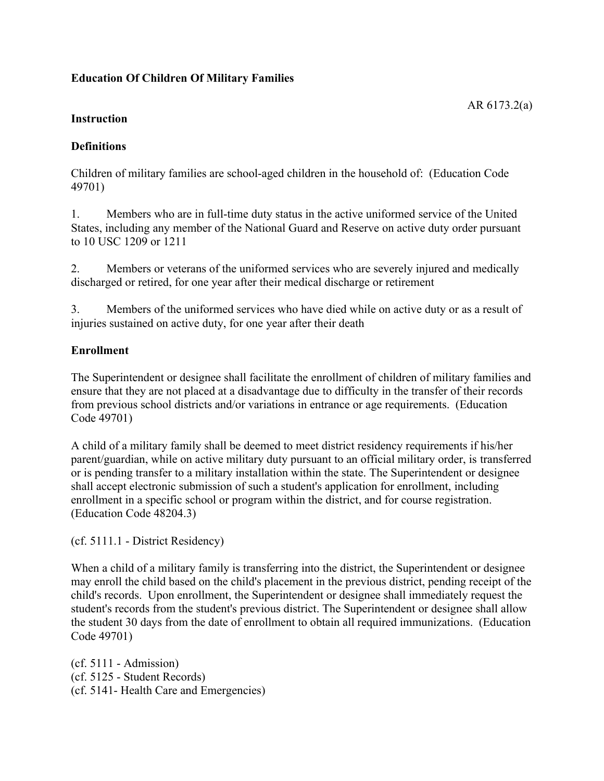# **Education Of Children Of Military Families**

AR 6173.2(a)

### **Instruction**

## **Definitions**

Children of military families are school-aged children in the household of: (Education Code 49701)

1. Members who are in full-time duty status in the active uniformed service of the United States, including any member of the National Guard and Reserve on active duty order pursuant to 10 USC 1209 or 1211

2. Members or veterans of the uniformed services who are severely injured and medically discharged or retired, for one year after their medical discharge or retirement

3. Members of the uniformed services who have died while on active duty or as a result of injuries sustained on active duty, for one year after their death

## **Enrollment**

The Superintendent or designee shall facilitate the enrollment of children of military families and ensure that they are not placed at a disadvantage due to difficulty in the transfer of their records from previous school districts and/or variations in entrance or age requirements. (Education Code 49701)

A child of a military family shall be deemed to meet district residency requirements if his/her parent/guardian, while on active military duty pursuant to an official military order, is transferred or is pending transfer to a military installation within the state. The Superintendent or designee shall accept electronic submission of such a student's application for enrollment, including enrollment in a specific school or program within the district, and for course registration. (Education Code 48204.3)

(cf. 5111.1 - District Residency)

When a child of a military family is transferring into the district, the Superintendent or designee may enroll the child based on the child's placement in the previous district, pending receipt of the child's records. Upon enrollment, the Superintendent or designee shall immediately request the student's records from the student's previous district. The Superintendent or designee shall allow the student 30 days from the date of enrollment to obtain all required immunizations. (Education Code 49701)

(cf. 5111 - Admission) (cf. 5125 - Student Records) (cf. 5141- Health Care and Emergencies)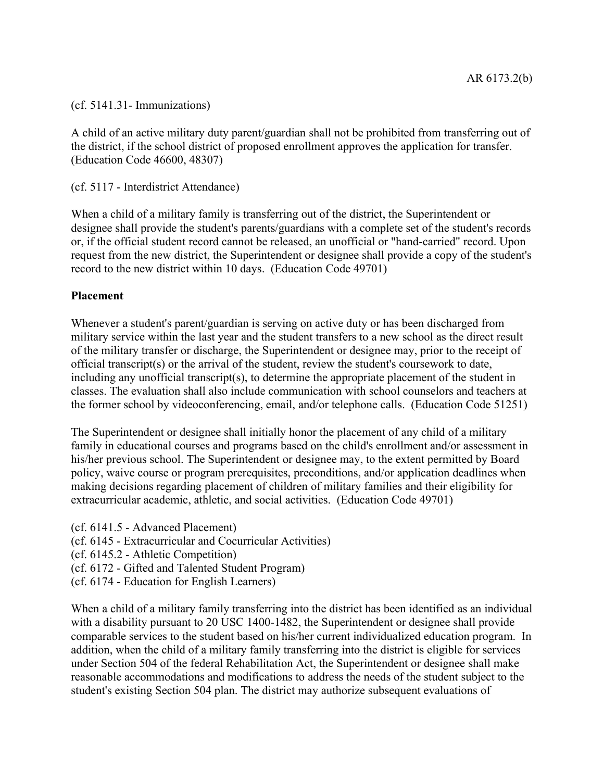(cf. 5141.31- Immunizations)

A child of an active military duty parent/guardian shall not be prohibited from transferring out of the district, if the school district of proposed enrollment approves the application for transfer. (Education Code 46600, 48307)

(cf. 5117 - Interdistrict Attendance)

When a child of a military family is transferring out of the district, the Superintendent or designee shall provide the student's parents/guardians with a complete set of the student's records or, if the official student record cannot be released, an unofficial or "hand-carried" record. Upon request from the new district, the Superintendent or designee shall provide a copy of the student's record to the new district within 10 days. (Education Code 49701)

### **Placement**

Whenever a student's parent/guardian is serving on active duty or has been discharged from military service within the last year and the student transfers to a new school as the direct result of the military transfer or discharge, the Superintendent or designee may, prior to the receipt of official transcript(s) or the arrival of the student, review the student's coursework to date, including any unofficial transcript(s), to determine the appropriate placement of the student in classes. The evaluation shall also include communication with school counselors and teachers at the former school by videoconferencing, email, and/or telephone calls. (Education Code 51251)

The Superintendent or designee shall initially honor the placement of any child of a military family in educational courses and programs based on the child's enrollment and/or assessment in his/her previous school. The Superintendent or designee may, to the extent permitted by Board policy, waive course or program prerequisites, preconditions, and/or application deadlines when making decisions regarding placement of children of military families and their eligibility for extracurricular academic, athletic, and social activities. (Education Code 49701)

- (cf. 6141.5 Advanced Placement)
- (cf. 6145 Extracurricular and Cocurricular Activities)
- (cf. 6145.2 Athletic Competition)
- (cf. 6172 Gifted and Talented Student Program)
- (cf. 6174 Education for English Learners)

When a child of a military family transferring into the district has been identified as an individual with a disability pursuant to 20 USC 1400-1482, the Superintendent or designee shall provide comparable services to the student based on his/her current individualized education program. In addition, when the child of a military family transferring into the district is eligible for services under Section 504 of the federal Rehabilitation Act, the Superintendent or designee shall make reasonable accommodations and modifications to address the needs of the student subject to the student's existing Section 504 plan. The district may authorize subsequent evaluations of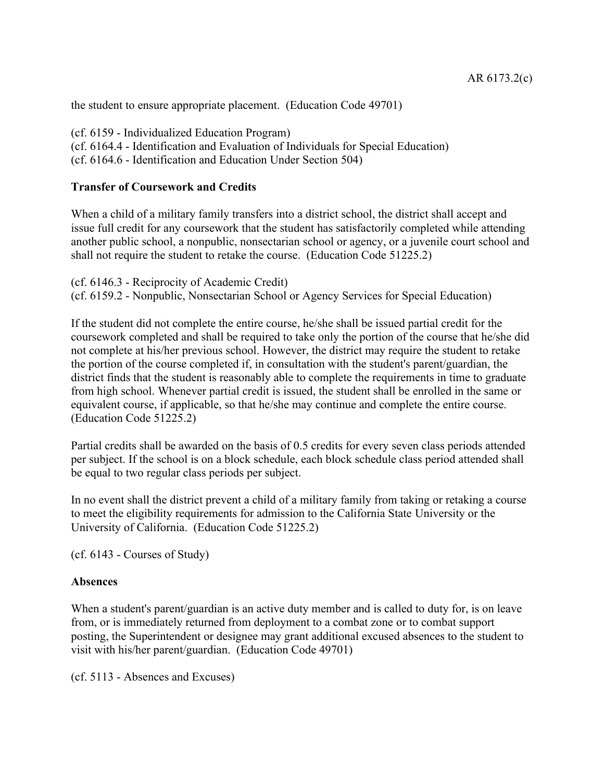the student to ensure appropriate placement. (Education Code 49701)

(cf. 6159 - Individualized Education Program) (cf. 6164.4 - Identification and Evaluation of Individuals for Special Education) (cf. 6164.6 - Identification and Education Under Section 504)

#### **Transfer of Coursework and Credits**

When a child of a military family transfers into a district school, the district shall accept and issue full credit for any coursework that the student has satisfactorily completed while attending another public school, a nonpublic, nonsectarian school or agency, or a juvenile court school and shall not require the student to retake the course. (Education Code 51225.2)

(cf. 6146.3 - Reciprocity of Academic Credit) (cf. 6159.2 - Nonpublic, Nonsectarian School or Agency Services for Special Education)

If the student did not complete the entire course, he/she shall be issued partial credit for the coursework completed and shall be required to take only the portion of the course that he/she did not complete at his/her previous school. However, the district may require the student to retake the portion of the course completed if, in consultation with the student's parent/guardian, the district finds that the student is reasonably able to complete the requirements in time to graduate from high school. Whenever partial credit is issued, the student shall be enrolled in the same or equivalent course, if applicable, so that he/she may continue and complete the entire course. (Education Code 51225.2)

Partial credits shall be awarded on the basis of 0.5 credits for every seven class periods attended per subject. If the school is on a block schedule, each block schedule class period attended shall be equal to two regular class periods per subject.

In no event shall the district prevent a child of a military family from taking or retaking a course to meet the eligibility requirements for admission to the California State University or the University of California. (Education Code 51225.2)

(cf. 6143 - Courses of Study)

#### **Absences**

When a student's parent/guardian is an active duty member and is called to duty for, is on leave from, or is immediately returned from deployment to a combat zone or to combat support posting, the Superintendent or designee may grant additional excused absences to the student to visit with his/her parent/guardian. (Education Code 49701)

(cf. 5113 - Absences and Excuses)